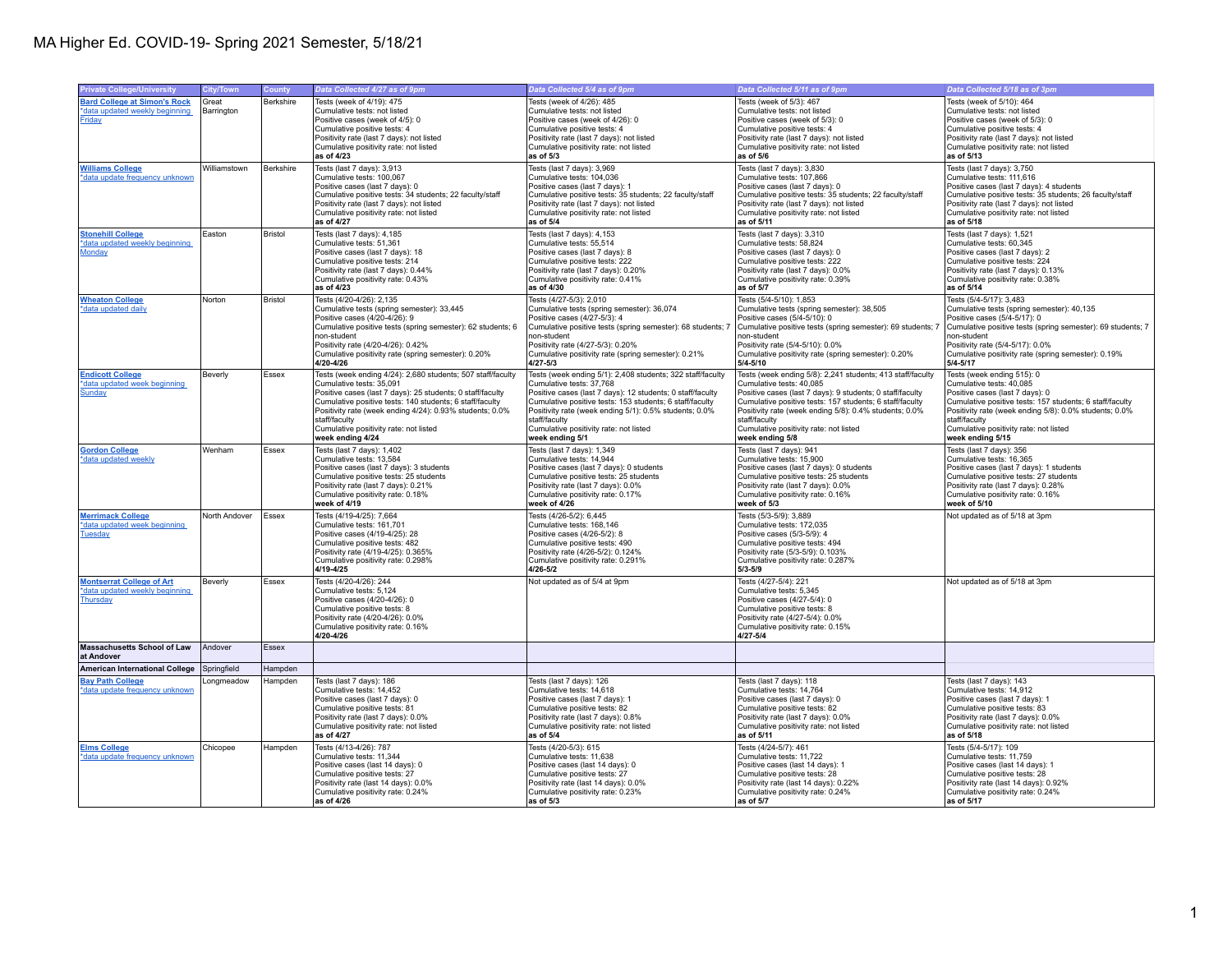| <b>Private College/University</b>                | City/Town     | County    | Data Collected 4/27 as of 9pm                                                                                          | Data Collected 5/4 as of 9pm                                                                                           | Data Collected 5/11 as of 9pm                                                                                         | Data Collected 5/18 as of 3pm                                                                        |
|--------------------------------------------------|---------------|-----------|------------------------------------------------------------------------------------------------------------------------|------------------------------------------------------------------------------------------------------------------------|-----------------------------------------------------------------------------------------------------------------------|------------------------------------------------------------------------------------------------------|
| <b>Bard College at Simon's Rock</b>              | Great         | Berkshire | Tests (week of 4/19): 475                                                                                              | Tests (week of 4/26): 485                                                                                              | Tests (week of 5/3): 467                                                                                              | Tests (week of 5/10): 464                                                                            |
| *data updated weekly beginning                   | Barrington    |           | Cumulative tests: not listed                                                                                           | Cumulative tests: not listed                                                                                           | Cumulative tests: not listed                                                                                          | Cumulative tests: not listed                                                                         |
| Friday                                           |               |           | Positive cases (week of 4/5): 0                                                                                        | Positive cases (week of 4/26): 0                                                                                       | Positive cases (week of 5/3): 0                                                                                       | Positive cases (week of 5/3): 0                                                                      |
|                                                  |               |           | Cumulative positive tests: 4<br>Positivity rate (last 7 days): not listed                                              | Cumulative positive tests: 4<br>Positivity rate (last 7 days): not listed                                              | Cumulative positive tests: 4<br>Positivity rate (last 7 days): not listed                                             | Cumulative positive tests: 4<br>Positivity rate (last 7 days): not listed                            |
|                                                  |               |           | Cumulative positivity rate: not listed                                                                                 | Cumulative positivity rate: not listed                                                                                 | Cumulative positivity rate: not listed                                                                                | Cumulative positivity rate: not listed                                                               |
|                                                  |               |           | as of 4/23                                                                                                             | as of $5/3$                                                                                                            | as of 5/6                                                                                                             | as of 5/13                                                                                           |
| <b>Williams College</b>                          | Williamstown  | Berkshire | Tests (last 7 days): 3,913                                                                                             | Tests (last 7 days): 3,969                                                                                             | Tests (last 7 days): 3,830                                                                                            | Tests (last 7 days): 3,750                                                                           |
| *data update frequency unknown                   |               |           | Cumulative tests: 100,067                                                                                              | Cumulative tests: 104,036                                                                                              | Cumulative tests: 107,866                                                                                             | Cumulative tests: 111,616                                                                            |
|                                                  |               |           | Positive cases (last 7 days): 0<br>Cumulative positive tests: 34 students; 22 faculty/staff                            | Positive cases (last 7 days): 1<br>Cumulative positive tests: 35 students; 22 faculty/staff                            | Positive cases (last 7 days): 0<br>Cumulative positive tests: 35 students; 22 faculty/staff                           | Positive cases (last 7 days): 4 students<br>Cumulative positive tests: 35 students; 26 faculty/staff |
|                                                  |               |           | Positivity rate (last 7 days): not listed                                                                              | Positivity rate (last 7 days): not listed                                                                              | Positivity rate (last 7 days): not listed                                                                             | Positivity rate (last 7 days): not listed                                                            |
|                                                  |               |           | Cumulative positivity rate: not listed                                                                                 | Cumulative positivity rate: not listed                                                                                 | Cumulative positivity rate: not listed                                                                                | Cumulative positivity rate: not listed                                                               |
|                                                  |               |           | as of 4/27                                                                                                             | as of 5/4                                                                                                              | as of 5/11                                                                                                            | as of 5/18                                                                                           |
| <b>Stonehill College</b>                         | Easton        | Bristol   | Tests (last 7 days): 4.185                                                                                             | Tests (last 7 days): 4,153                                                                                             | Tests (last 7 days): 3.310                                                                                            | Tests (last 7 days): 1.521                                                                           |
| *data updated weekly beginning<br>Monday         |               |           | Cumulative tests: 51,361<br>Positive cases (last 7 days): 18                                                           | Cumulative tests: 55,514<br>Positive cases (last 7 days): 8                                                            | Cumulative tests: 58,824<br>Positive cases (last 7 days): 0                                                           | Cumulative tests: 60,345<br>Positive cases (last 7 days): 2                                          |
|                                                  |               |           | Cumulative positive tests: 214                                                                                         | Cumulative positive tests: 222                                                                                         | Cumulative positive tests: 222                                                                                        | Cumulative positive tests: 224                                                                       |
|                                                  |               |           | Positivity rate (last 7 days): 0.44%                                                                                   | Positivity rate (last 7 days): 0.20%                                                                                   | Positivity rate (last 7 days): 0.0%                                                                                   | Positivity rate (last 7 days): 0.13%                                                                 |
|                                                  |               |           | Cumulative positivity rate: 0.43%<br>as of 4/23                                                                        | Cumulative positivity rate: 0.41%<br>as of 4/30                                                                        | Cumulative positivity rate: 0.39%<br>as of 5/7                                                                        | Cumulative positivity rate: 0.38%<br>as of 5/14                                                      |
|                                                  | Norton        | Bristol   |                                                                                                                        | Tests (4/27-5/3): 2,010                                                                                                |                                                                                                                       | Tests (5/4-5/17): 3,483                                                                              |
| <b>Wheaton College</b><br>*data updated daily    |               |           | Tests (4/20-4/26): 2,135<br>Cumulative tests (spring semester): 33,445                                                 | Cumulative tests (spring semester): 36,074                                                                             | Tests (5/4-5/10): 1,853<br>Cumulative tests (spring semester): 38,505                                                 | Cumulative tests (spring semester): 40,135                                                           |
|                                                  |               |           | Positive cases (4/20-4/26): 9                                                                                          | Positive cases (4/27-5/3): 4                                                                                           | Positive cases (5/4-5/10): 0                                                                                          | Positive cases (5/4-5/17): 0                                                                         |
|                                                  |               |           | Cumulative positive tests (spring semester): 62 students; 6                                                            | Cumulative positive tests (spring semester): 68 students; 7                                                            | Cumulative positive tests (spring semester): 69 students; 7                                                           | Cumulative positive tests (spring semester): 69 students; 7                                          |
|                                                  |               |           | non-student<br>Positivity rate (4/20-4/26): 0.42%                                                                      | non-student<br>Positivity rate (4/27-5/3): 0.20%                                                                       | non-student<br>Positivity rate (5/4-5/10): 0.0%                                                                       | non-student<br>Positivity rate (5/4-5/17): 0.0%                                                      |
|                                                  |               |           | Cumulative positivity rate (spring semester): 0.20%                                                                    | Cumulative positivity rate (spring semester): 0.21%                                                                    | Cumulative positivity rate (spring semester): 0.20%                                                                   | Cumulative positivity rate (spring semester): 0.19%                                                  |
|                                                  |               |           | 4/20-4/26                                                                                                              | $4/27 - 5/3$                                                                                                           | $5/4 - 5/10$                                                                                                          | $5/4 - 5/17$                                                                                         |
| <b>Endicott College</b>                          | Beverly       | Essex     | Tests (week ending 4/24): 2,680 students; 507 staff/faculty                                                            | Tests (week ending 5/1): 2,408 students; 322 staff/faculty                                                             | Tests (week ending 5/8): 2,241 students; 413 staff/faculty                                                            | Tests (week ending 515): 0                                                                           |
| *data updated week beginning                     |               |           | Cumulative tests: 35,091                                                                                               | Cumulative tests: 37,768                                                                                               | Cumulative tests: 40,085                                                                                              | Cumulative tests: 40,085                                                                             |
| Sunday                                           |               |           | Positive cases (last 7 days): 25 students; 0 staff/faculty<br>Cumulative positive tests: 140 students; 6 staff/faculty | Positive cases (last 7 days): 12 students; 0 staff/faculty<br>Cumulative positive tests: 153 students; 6 staff/faculty | Positive cases (last 7 days): 9 students; 0 staff/faculty<br>Cumulative positive tests: 157 students; 6 staff/faculty | Positive cases (last 7 days): 0<br>Cumulative positive tests: 157 students; 6 staff/faculty          |
|                                                  |               |           | Positivity rate (week ending 4/24): 0.93% students; 0.0%                                                               | Positivity rate (week ending 5/1): 0.5% students; 0.0%                                                                 | Positivity rate (week ending 5/8): 0.4% students; 0.0%                                                                | Positivity rate (week ending 5/8): 0.0% students; 0.0%                                               |
|                                                  |               |           | staff/faculty                                                                                                          | staff/faculty                                                                                                          | staff/faculty                                                                                                         | staff/faculty                                                                                        |
|                                                  |               |           | Cumulative positivity rate: not listed<br>week ending 4/24                                                             | Cumulative positivity rate: not listed<br>week ending 5/1                                                              | Cumulative positivity rate: not listed<br>week ending 5/8                                                             | Cumulative positivity rate: not listed<br>week ending 5/15                                           |
|                                                  | Wenham        | Essex     | Tests (last 7 days): 1.402                                                                                             | Tests (last 7 days): 1.349                                                                                             | Tests (last 7 days): 941                                                                                              | Tests (last 7 days): 356                                                                             |
| <b>Gordon College</b><br>data updated weekly     |               |           | Cumulative tests: 13,584                                                                                               | Cumulative tests: 14,944                                                                                               | Cumulative tests: 15,900                                                                                              | Cumulative tests: 16,365                                                                             |
|                                                  |               |           | Positive cases (last 7 days): 3 students                                                                               | Positive cases (last 7 days): 0 students                                                                               | Positive cases (last 7 days): 0 students                                                                              | Positive cases (last 7 days): 1 students                                                             |
|                                                  |               |           | Cumulative positive tests: 25 students                                                                                 | Cumulative positive tests: 25 students                                                                                 | Cumulative positive tests: 25 students                                                                                | Cumulative positive tests: 27 students                                                               |
|                                                  |               |           | Positivity rate (last 7 days): 0.21%<br>Cumulative positivity rate: 0.18%                                              | Positivity rate (last 7 days): 0.0%<br>Cumulative positivity rate: 0.17%                                               | Positivity rate (last 7 days): 0.0%<br>Cumulative positivity rate: 0.16%                                              | Positivity rate (last 7 days): 0.28%<br>Cumulative positivity rate: 0.16%                            |
|                                                  |               |           | week of 4/19                                                                                                           | week of 4/26                                                                                                           | week of 5/3                                                                                                           | week of 5/10                                                                                         |
| <b>Merrimack College</b>                         | North Andover | Essex     | Tests (4/19-4/25): 7,664                                                                                               | Tests (4/26-5/2): 6,445                                                                                                | Tests (5/3-5/9): 3,889                                                                                                | Not updated as of 5/18 at 3pm                                                                        |
| *data updated week beginning                     |               |           | Cumulative tests: 161,701                                                                                              | Cumulative tests: 168,146                                                                                              | Cumulative tests: 172,035                                                                                             |                                                                                                      |
| <b>Tuesday</b>                                   |               |           | Positive cases (4/19-4/25): 28                                                                                         | Positive cases (4/26-5/2): 8                                                                                           | Positive cases (5/3-5/9): 4                                                                                           |                                                                                                      |
|                                                  |               |           | Cumulative positive tests: 482<br>Positivity rate (4/19-4/25): 0.365%                                                  | Cumulative positive tests: 490<br>Positivity rate (4/26-5/2): 0.124%                                                   | Cumulative positive tests: 494<br>Positivity rate (5/3-5/9): 0.103%                                                   |                                                                                                      |
|                                                  |               |           | Cumulative positivity rate: 0.298%                                                                                     | Cumulative positivity rate: 0.291%                                                                                     | Cumulative positivity rate: 0.287%                                                                                    |                                                                                                      |
|                                                  |               |           | 4/19-4/25                                                                                                              | $4/26 - 5/2$                                                                                                           | $5/3 - 5/9$                                                                                                           |                                                                                                      |
| <b>Montserrat College of Art</b>                 | Beverly       | Essex     | Tests (4/20-4/26): 244                                                                                                 | Not updated as of 5/4 at 9pm                                                                                           | Tests (4/27-5/4): 221                                                                                                 | Not updated as of 5/18 at 3pm                                                                        |
| *data updated weekly beginning                   |               |           | Cumulative tests: 5,124<br>Positive cases (4/20-4/26): 0                                                               |                                                                                                                        | Cumulative tests: 5,345<br>Positive cases (4/27-5/4): 0                                                               |                                                                                                      |
| Thursday                                         |               |           | Cumulative positive tests: 8                                                                                           |                                                                                                                        | Cumulative positive tests: 8                                                                                          |                                                                                                      |
|                                                  |               |           | Positivity rate (4/20-4/26): 0.0%                                                                                      |                                                                                                                        | Positivity rate (4/27-5/4): 0.0%                                                                                      |                                                                                                      |
|                                                  |               |           | Cumulative positivity rate: 0.16%                                                                                      |                                                                                                                        | Cumulative positivity rate: 0.15%                                                                                     |                                                                                                      |
|                                                  |               |           | 4/20-4/26                                                                                                              |                                                                                                                        | $4/27 - 5/4$                                                                                                          |                                                                                                      |
| <b>Massachusetts School of Law</b><br>at Andover | Andover       | Essex     |                                                                                                                        |                                                                                                                        |                                                                                                                       |                                                                                                      |
| <b>American International College</b>            | Springfield   | Hampden   |                                                                                                                        |                                                                                                                        |                                                                                                                       |                                                                                                      |
| <b>Bay Path College</b>                          | Longmeadow    | Hampden   | Tests (last 7 days): 186                                                                                               | Tests (last 7 days): 126                                                                                               | Tests (last 7 days): 118                                                                                              | Tests (last 7 days): 143                                                                             |
| *data update frequency unknown                   |               |           | Cumulative tests: 14,452                                                                                               | Cumulative tests: 14.618                                                                                               | Cumulative tests: 14.764                                                                                              | Cumulative tests: 14.912                                                                             |
|                                                  |               |           | Positive cases (last 7 days): 0<br>Cumulative positive tests: 81                                                       | Positive cases (last 7 days): 1<br>Cumulative positive tests: 82                                                       | Positive cases (last 7 days): 0<br>Cumulative positive tests: 82                                                      | Positive cases (last 7 days): 1<br>Cumulative positive tests: 83                                     |
|                                                  |               |           | Positivity rate (last 7 days): 0.0%                                                                                    | Positivity rate (last 7 days): 0.8%                                                                                    | Positivity rate (last 7 days): 0.0%                                                                                   | Positivity rate (last 7 days): 0.0%                                                                  |
|                                                  |               |           | Cumulative positivity rate: not listed                                                                                 | Cumulative positivity rate: not listed                                                                                 | Cumulative positivity rate: not listed                                                                                | Cumulative positivity rate: not listed                                                               |
|                                                  |               |           | as of 4/27                                                                                                             | as of 5/4                                                                                                              | as of 5/11                                                                                                            | as of 5/18                                                                                           |
| <b>Elms College</b>                              | Chicopee      | Hampden   | Tests (4/13-4/26): 787                                                                                                 | Tests (4/20-5/3): 615                                                                                                  | Tests (4/24-5/7): 461                                                                                                 | Tests (5/4-5/17): 109                                                                                |
| *data update frequency unknown                   |               |           | Cumulative tests: 11,344<br>Positive cases (last 14 days): 0                                                           | Cumulative tests: 11,638<br>Positive cases (last 14 days): 0                                                           | Cumulative tests: 11,722<br>Positive cases (last 14 days): 1                                                          | Cumulative tests: 11,759<br>Positive cases (last 14 days): 1                                         |
|                                                  |               |           | Cumulative positive tests: 27                                                                                          | Cumulative positive tests: 27                                                                                          | Cumulative positive tests: 28                                                                                         | Cumulative positive tests: 28                                                                        |
|                                                  |               |           | Positivity rate (last 14 days): 0.0%                                                                                   | Positivity rate (last 14 days): 0.0%                                                                                   | Positivity rate (last 14 days): 0.22%                                                                                 | Positivity rate (last 14 days): 0.92%                                                                |
|                                                  |               |           | Cumulative positivity rate: 0.24%                                                                                      | Cumulative positivity rate: 0.23%                                                                                      | Cumulative positivity rate: 0.24%                                                                                     | Cumulative positivity rate: 0.24%                                                                    |
|                                                  |               |           | as of 4/26                                                                                                             | as of $5/3$                                                                                                            | as of 5/7                                                                                                             | as of 5/17                                                                                           |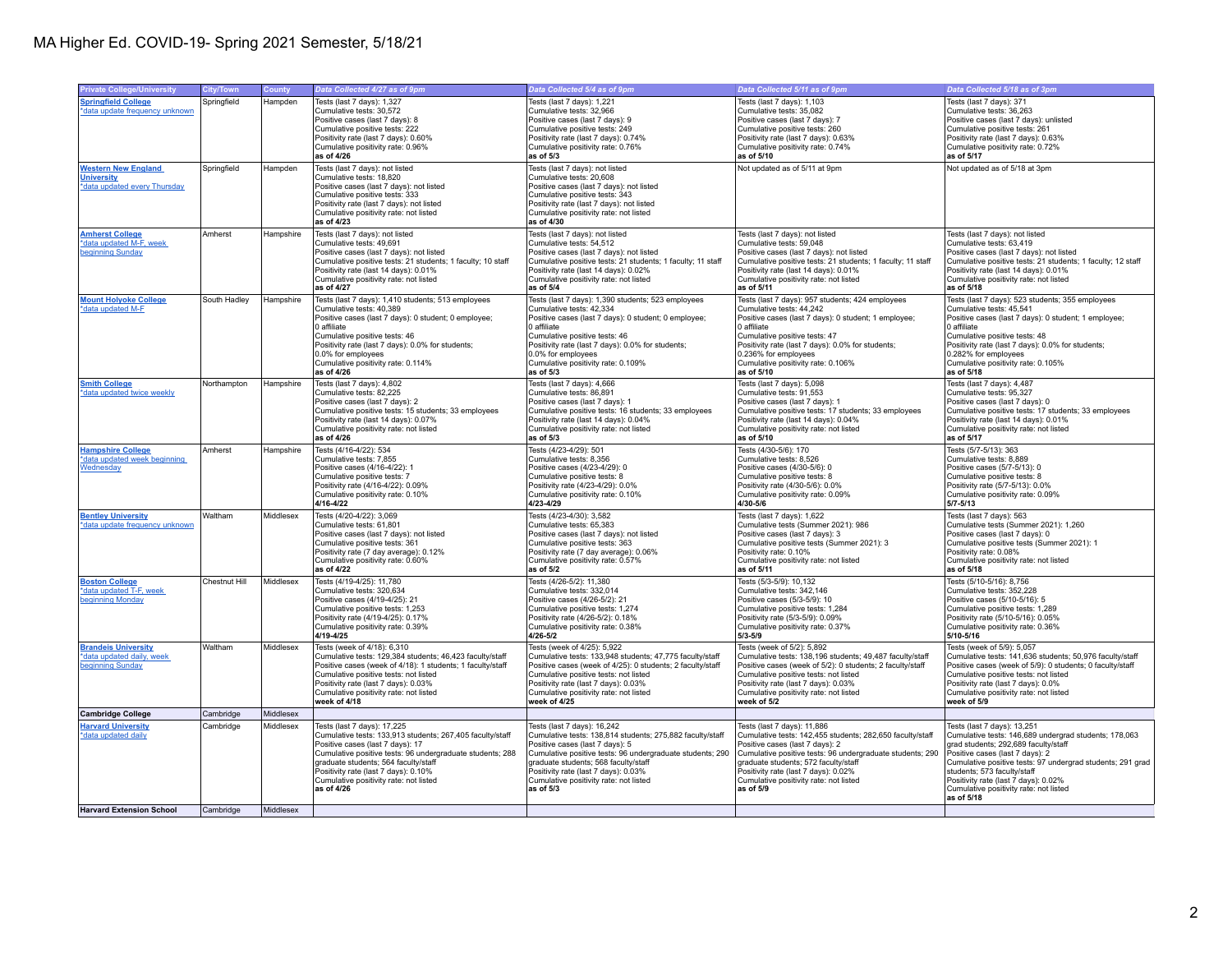| <b>Private College/University</b>                | City/Town     | County    | Data Collected 4/27 as of 9pm                                                                     | Data Collected 5/4 as of 9pm                                                                      | Data Collected 5/11 as of 9pm                                                                     | Data Collected 5/18 as of 3pm                                                                 |
|--------------------------------------------------|---------------|-----------|---------------------------------------------------------------------------------------------------|---------------------------------------------------------------------------------------------------|---------------------------------------------------------------------------------------------------|-----------------------------------------------------------------------------------------------|
| <b>Springfield College</b>                       | Springfield   | Hampden   | Tests (last 7 days): 1,327                                                                        | Tests (last 7 days): 1,221                                                                        | Tests (last 7 days): 1,103                                                                        | Tests (last 7 days): 371                                                                      |
| data update frequency unknown                    |               |           | Cumulative tests: 30,572                                                                          | Cumulative tests: 32,966                                                                          | Cumulative tests: 35,082                                                                          | Cumulative tests: 36,263                                                                      |
|                                                  |               |           | Positive cases (last 7 days): 8                                                                   | Positive cases (last 7 days): 9                                                                   | Positive cases (last 7 days): 7                                                                   | Positive cases (last 7 days): unlisted                                                        |
|                                                  |               |           | Cumulative positive tests: 222                                                                    | Cumulative positive tests: 249                                                                    | Cumulative positive tests: 260                                                                    | Cumulative positive tests: 261                                                                |
|                                                  |               |           | Positivity rate (last 7 days): 0.60%                                                              | Positivity rate (last 7 days): 0.74%                                                              | Positivity rate (last 7 days): 0.63%                                                              | Positivity rate (last 7 days): 0.63%                                                          |
|                                                  |               |           | Cumulative positivity rate: 0.96%<br>as of 4/26                                                   | Cumulative positivity rate: 0.76%<br>as of 5/3                                                    | Cumulative positivity rate: 0.74%<br>as of 5/10                                                   | Cumulative positivity rate: 0.72%<br>as of 5/17                                               |
| <b>Western New England</b>                       | Springfield   | Hampden   | Tests (last 7 days): not listed                                                                   | Tests (last 7 days): not listed                                                                   | Not updated as of 5/11 at 9pm                                                                     | Not updated as of 5/18 at 3pm                                                                 |
| <b>University</b>                                |               |           | Cumulative tests: 18,820                                                                          | Cumulative tests: 20,608                                                                          |                                                                                                   |                                                                                               |
| *data updated every Thursday                     |               |           | Positive cases (last 7 days): not listed                                                          | Positive cases (last 7 days): not listed                                                          |                                                                                                   |                                                                                               |
|                                                  |               |           | Cumulative positive tests: 333                                                                    | Cumulative positive tests: 343                                                                    |                                                                                                   |                                                                                               |
|                                                  |               |           | Positivity rate (last 7 days): not listed                                                         | Positivity rate (last 7 days): not listed                                                         |                                                                                                   |                                                                                               |
|                                                  |               |           | Cumulative positivity rate: not listed<br>as of 4/23                                              | Cumulative positivity rate: not listed<br>as of 4/30                                              |                                                                                                   |                                                                                               |
| <b>Amherst College</b>                           | Amherst       | Hampshire | Tests (last 7 days): not listed                                                                   | Tests (last 7 days): not listed                                                                   | Tests (last 7 days): not listed                                                                   | Tests (last 7 days): not listed                                                               |
| *data updated M-F, week                          |               |           | Cumulative tests: 49,691                                                                          | Cumulative tests: 54,512                                                                          | Cumulative tests: 59,048                                                                          | Cumulative tests: 63,419                                                                      |
| beginning Sunday                                 |               |           | Positive cases (last 7 days): not listed                                                          | Positive cases (last 7 days): not listed                                                          | Positive cases (last 7 days): not listed                                                          | Positive cases (last 7 days): not listed                                                      |
|                                                  |               |           | Cumulative positive tests: 21 students; 1 faculty; 10 staff                                       | Cumulative positive tests: 21 students; 1 faculty; 11 staff                                       | Cumulative positive tests: 21 students; 1 faculty; 11 staff                                       | Cumulative positive tests: 21 students; 1 faculty; 12 staff                                   |
|                                                  |               |           | Positivity rate (last 14 days): 0.01%                                                             | Positivity rate (last 14 days): 0.02%                                                             | Positivity rate (last 14 days): 0.01%                                                             | Positivity rate (last 14 days): 0.01%                                                         |
|                                                  |               |           | Cumulative positivity rate: not listed<br>as of 4/27                                              | Cumulative positivity rate: not listed<br>as of 5/4                                               | Cumulative positivity rate: not listed<br>as of 5/11                                              | Cumulative positivity rate: not listed<br>as of 5/18                                          |
| <b>Mount Holyoke College</b>                     | South Hadley  | Hampshire | Tests (last 7 days): 1,410 students; 513 employees                                                | Tests (last 7 days): 1,390 students; 523 employees                                                | Tests (last 7 days): 957 students; 424 employees                                                  | Tests (last 7 days): 523 students; 355 employees                                              |
| *data updated M-F                                |               |           | Cumulative tests: 40.389                                                                          | Cumulative tests: 42.334                                                                          | Cumulative tests: 44.242                                                                          | Cumulative tests: 45.541                                                                      |
|                                                  |               |           | Positive cases (last 7 days): 0 student; 0 employee;                                              | Positive cases (last 7 days): 0 student; 0 employee;                                              | Positive cases (last 7 days): 0 student; 1 employee;                                              | Positive cases (last 7 days): 0 student; 1 employee;                                          |
|                                                  |               |           | 0 affiliate                                                                                       | 0 affiliate                                                                                       | 0 affiliate                                                                                       | 0 affiliate                                                                                   |
|                                                  |               |           | Cumulative positive tests: 46                                                                     | Cumulative positive tests: 46                                                                     | Cumulative positive tests: 47                                                                     | Cumulative positive tests: 48                                                                 |
|                                                  |               |           | Positivity rate (last 7 days): 0.0% for students;<br>0.0% for employees                           | Positivity rate (last 7 days): 0.0% for students;<br>0.0% for employees                           | Positivity rate (last 7 days): 0.0% for students;<br>0.236% for employees                         | Positivity rate (last 7 days): 0.0% for students;<br>0.282% for employees                     |
|                                                  |               |           | Cumulative positivity rate: 0.114%                                                                | Cumulative positivity rate: 0.109%                                                                | Cumulative positivity rate: 0.106%                                                                | Cumulative positivity rate: 0.105%                                                            |
|                                                  |               |           | as of 4/26                                                                                        | as of 5/3                                                                                         | as of 5/10                                                                                        | as of 5/18                                                                                    |
| <b>Smith College</b>                             | Northampton   | Hampshire | Tests (last 7 days): 4,802                                                                        | Tests (last 7 days): 4,666                                                                        | Tests (last 7 days): 5,098                                                                        | Tests (last 7 days): 4,487                                                                    |
| *data updated twice weekly                       |               |           | Cumulative tests: 82.225                                                                          | Cumulative tests: 86.891                                                                          | Cumulative tests: 91.553                                                                          | Cumulative tests: 95.327                                                                      |
|                                                  |               |           | Positive cases (last 7 days): 2<br>Cumulative positive tests: 15 students; 33 employees           | Positive cases (last 7 days): 1<br>Cumulative positive tests: 16 students; 33 employees           | Positive cases (last 7 days): 1<br>Cumulative positive tests: 17 students; 33 employees           | Positive cases (last 7 days): 0<br>Cumulative positive tests: 17 students; 33 employees       |
|                                                  |               |           | Positivity rate (last 14 days): 0.07%                                                             | Positivity rate (last 14 days): 0.04%                                                             | Positivity rate (last 14 days): 0.04%                                                             | Positivity rate (last 14 days): 0.01%                                                         |
|                                                  |               |           | Cumulative positivity rate: not listed                                                            | Cumulative positivity rate: not listed                                                            | Cumulative positivity rate: not listed                                                            | Cumulative positivity rate: not listed                                                        |
|                                                  |               |           | as of 4/26                                                                                        | as of $5/3$                                                                                       | as of 5/10                                                                                        | as of 5/17                                                                                    |
| <b>Hampshire College</b>                         | Amherst       | Hampshire | Tests (4/16-4/22): 534                                                                            | Tests (4/23-4/29): 501                                                                            | Tests (4/30-5/6): 170                                                                             | Tests (5/7-5/13): 363                                                                         |
| *data updated week beginning                     |               |           | Cumulative tests: 7,855                                                                           | Cumulative tests: 8,356                                                                           | Cumulative tests: 8,526                                                                           | Cumulative tests: 8,889                                                                       |
| Wednesday                                        |               |           | Positive cases (4/16-4/22): 1<br>Cumulative positive tests: 7                                     | Positive cases (4/23-4/29): 0<br>Cumulative positive tests: 8                                     | Positive cases (4/30-5/6): 0<br>Cumulative positive tests: 8                                      | Positive cases (5/7-5/13): 0<br>Cumulative positive tests: 8                                  |
|                                                  |               |           | Positivity rate (4/16-4/22): 0.09%                                                                | Positivity rate (4/23-4/29): 0.0%                                                                 | Positivity rate (4/30-5/6): 0.0%                                                                  | Positivity rate (5/7-5/13): 0.0%                                                              |
|                                                  |               |           | Cumulative positivity rate: 0.10%                                                                 | Cumulative positivity rate: 0.10%                                                                 | Cumulative positivity rate: 0.09%                                                                 | Cumulative positivity rate: 0.09%                                                             |
|                                                  |               |           | $4/16 - 4/22$                                                                                     | 4/23-4/29                                                                                         | $4/30 - 5/6$                                                                                      | $5/7 - 5/13$                                                                                  |
| <b>Bentley University</b>                        | Waltham       | Middlesex | Tests (4/20-4/22): 3.069                                                                          | Tests (4/23-4/30): 3,582                                                                          | Tests (last 7 days): 1,622                                                                        | Tests (last 7 days): 563                                                                      |
| data update frequency unknown                    |               |           | Cumulative tests: 61,801<br>Positive cases (last 7 days): not listed                              | Cumulative tests: 65,383<br>Positive cases (last 7 days): not listed                              | Cumulative tests (Summer 2021): 986<br>Positive cases (last 7 days): 3                            | Cumulative tests (Summer 2021): 1,260<br>Positive cases (last 7 days): 0                      |
|                                                  |               |           | Cumulative positive tests: 361                                                                    | Cumulative positive tests: 363                                                                    | Cumulative positive tests (Summer 2021): 3                                                        | Cumulative positive tests (Summer 2021): 1                                                    |
|                                                  |               |           | Positivity rate (7 day average): 0.12%                                                            | Positivity rate (7 day average): 0.06%                                                            | Positivity rate: 0.10%                                                                            | Positivity rate: 0.08%                                                                        |
|                                                  |               |           | Cumulative positivity rate: 0.60%                                                                 | Cumulative positivity rate: 0.57%                                                                 | Cumulative positivity rate: not listed                                                            | Cumulative positivity rate: not listed                                                        |
|                                                  |               |           | as of 4/22                                                                                        | as of 5/2                                                                                         | as of 5/11                                                                                        | as of 5/18                                                                                    |
| <b>Boston College</b><br>*data updated T-F, week | Chestnut Hill | Middlesex | Tests (4/19-4/25): 11,780<br>Cumulative tests: 320,634                                            | Tests (4/26-5/2): 11,380<br>Cumulative tests: 332,014                                             | Tests (5/3-5/9): 10,132<br>Cumulative tests: 342,146                                              | Tests (5/10-5/16): 8,756<br>Cumulative tests: 352,228                                         |
| beginning Monday                                 |               |           | Positive cases (4/19-4/25): 21                                                                    | Positive cases (4/26-5/2): 21                                                                     | Positive cases (5/3-5/9): 10                                                                      | Positive cases (5/10-5/16): 5                                                                 |
|                                                  |               |           | Cumulative positive tests: 1,253                                                                  | Cumulative positive tests: 1,274                                                                  | Cumulative positive tests: 1,284                                                                  | Cumulative positive tests: 1,289                                                              |
|                                                  |               |           | Positivity rate (4/19-4/25): 0.17%                                                                | Positivity rate (4/26-5/2): 0.18%                                                                 | Positivity rate (5/3-5/9): 0.09%                                                                  | Positivity rate (5/10-5/16): 0.05%                                                            |
|                                                  |               |           | Cumulative positivity rate: 0.39%<br>4/19-4/25                                                    | Cumulative positivity rate: 0.38%<br>$4/26 - 5/2$                                                 | Cumulative positivity rate: 0.37%<br>$5/3 - 5/9$                                                  | Cumulative positivity rate: 0.36%<br>$5/10 - 5/16$                                            |
| <b>Brandeis University</b>                       | Waltham       | Middlesex | Tests (week of 4/18): 6,310                                                                       | Tests (week of 4/25): 5,922                                                                       | Tests (week of 5/2): 5,892                                                                        | Tests (week of 5/9): 5,057                                                                    |
| *data updated daily, week                        |               |           | Cumulative tests: 129,384 students; 46,423 faculty/staff                                          | Cumulative tests: 133,948 students; 47,775 faculty/staff                                          | Cumulative tests: 138,196 students; 49,487 faculty/staff                                          | Cumulative tests: 141,636 students; 50,976 faculty/staff                                      |
| beginning Sunday                                 |               |           | Positive cases (week of 4/18): 1 students; 1 faculty/staff                                        | Positive cases (week of 4/25): 0 students; 2 faculty/staff                                        | Positive cases (week of 5/2): 0 students; 2 faculty/staff                                         | Positive cases (week of 5/9): 0 students; 0 faculty/staff                                     |
|                                                  |               |           | Cumulative positive tests: not listed                                                             | Cumulative positive tests: not listed                                                             | Cumulative positive tests: not listed                                                             | Cumulative positive tests: not listed                                                         |
|                                                  |               |           | Positivity rate (last 7 days): 0.03%                                                              | Positivity rate (last 7 days): 0.03%                                                              | Positivity rate (last 7 days): 0.03%                                                              | Positivity rate (last 7 days): 0.0%                                                           |
|                                                  |               |           | Cumulative positivity rate: not listed<br>week of 4/18                                            | Cumulative positivity rate: not listed<br>week of 4/25                                            | Cumulative positivity rate: not listed<br>week of 5/2                                             | Cumulative positivity rate: not listed<br>week of 5/9                                         |
| <b>Cambridge College</b>                         | Cambridge     | Middlesex |                                                                                                   |                                                                                                   |                                                                                                   |                                                                                               |
| <b>Harvard University</b>                        | Cambridge     | Middlesex | Tests (last 7 days): 17,225                                                                       | Tests (last 7 days): 16,242                                                                       | Tests (last 7 days): 11,886                                                                       | Tests (last 7 days): 13,251                                                                   |
| *data updated daily                              |               |           | Cumulative tests: 133,913 students; 267,405 faculty/staff                                         | Cumulative tests: 138,814 students; 275,882 faculty/staff                                         | Cumulative tests: 142,455 students; 282,650 faculty/staff                                         | Cumulative tests: 146,689 undergrad students; 178,063                                         |
|                                                  |               |           | Positive cases (last 7 days): 17                                                                  | Positive cases (last 7 days): 5                                                                   | Positive cases (last 7 days): 2                                                                   | grad students; 292,689 faculty/staff                                                          |
|                                                  |               |           | Cumulative positive tests: 96 undergraduate students; 288<br>graduate students; 564 faculty/staff | Cumulative positive tests: 96 undergraduate students; 290<br>graduate students; 568 faculty/staff | Cumulative positive tests: 96 undergraduate students; 290<br>graduate students; 572 faculty/staff | Positive cases (last 7 days): 2<br>Cumulative positive tests: 97 undergrad students; 291 grad |
|                                                  |               |           | Positivity rate (last 7 days): 0.10%                                                              | Positivity rate (last 7 days): 0.03%                                                              | Positivity rate (last 7 days): 0.02%                                                              | students; 573 faculty/staff                                                                   |
|                                                  |               |           | Cumulative positivity rate: not listed                                                            | Cumulative positivity rate: not listed                                                            | Cumulative positivity rate: not listed                                                            | Positivity rate (last 7 days): 0.02%                                                          |
|                                                  |               |           | as of 4/26                                                                                        | as of 5/3                                                                                         | as of 5/9                                                                                         | Cumulative positivity rate: not listed                                                        |
|                                                  |               |           |                                                                                                   |                                                                                                   |                                                                                                   | as of 5/18                                                                                    |
| <b>Harvard Extension School</b>                  | Cambridge     | Middlesex |                                                                                                   |                                                                                                   |                                                                                                   |                                                                                               |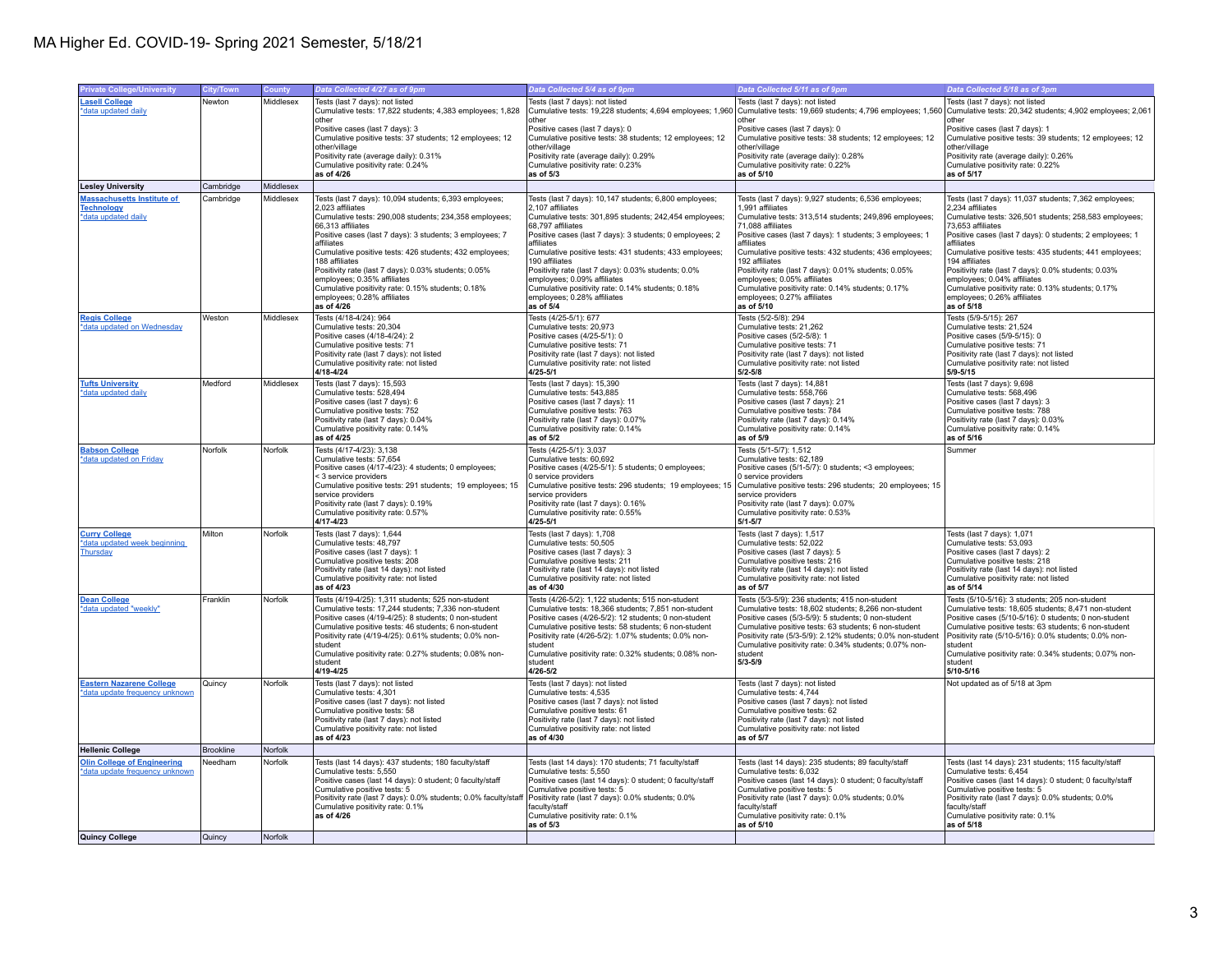| <b>Private College/University</b>  | <b>City/Town</b> | <b>County</b> | Data Collected 4/27 as of 9pm                                    | Data Collected 5/4 as of 9pm                              | Data Collected 5/11 as of 9pm                               | Data Collected 5/18 as of 3pm                             |
|------------------------------------|------------------|---------------|------------------------------------------------------------------|-----------------------------------------------------------|-------------------------------------------------------------|-----------------------------------------------------------|
| <b>Lasell College</b>              | Newton           | Middlesex     | Tests (last 7 days); not listed                                  | Tests (last 7 days); not listed                           | Tests (last 7 days): not listed                             | Tests (last 7 days); not listed                           |
| *data updated daily                |                  |               | Cumulative tests: 17,822 students; 4,383 employees; 1,828        | Cumulative tests: 19,228 students; 4,694 employees; 1,960 | Cumulative tests: 19,669 students; 4,796 employees; 1,560   | Cumulative tests: 20,342 students; 4,902 employees; 2,061 |
|                                    |                  |               | other                                                            | other                                                     | other                                                       | other                                                     |
|                                    |                  |               | Positive cases (last 7 days): 3                                  | Positive cases (last 7 days): 0                           | Positive cases (last 7 days): 0                             | Positive cases (last 7 days): 1                           |
|                                    |                  |               | Cumulative positive tests: 37 students; 12 employees; 12         | Cumulative positive tests: 38 students; 12 employees; 12  | Cumulative positive tests: 38 students; 12 employees; 12    | Cumulative positive tests: 39 students; 12 employees; 12  |
|                                    |                  |               | other/village                                                    | other/village                                             | other/village                                               | other/village                                             |
|                                    |                  |               | Positivity rate (average daily): 0.31%                           | Positivity rate (average daily): 0.29%                    | Positivity rate (average daily): 0.28%                      | Positivity rate (average daily): 0.26%                    |
|                                    |                  |               | Cumulative positivity rate: 0.24%                                | Cumulative positivity rate: 0.23%                         | Cumulative positivity rate: 0.22%                           | Cumulative positivity rate: 0.22%                         |
|                                    |                  |               | as of 4/26                                                       | as of 5/3                                                 | as of 5/10                                                  | as of 5/17                                                |
| <b>Lesley University</b>           | Cambridge        | Middlesex     |                                                                  |                                                           |                                                             |                                                           |
| <b>Massachusetts Institute of</b>  | Cambridge        | Middlesex     | Tests (last 7 days): 10,094 students; 6,393 employees;           | Tests (last 7 days): 10,147 students; 6,800 employees;    | Tests (last 7 days): 9,927 students; 6,536 employees;       | Tests (last 7 days): 11,037 students; 7,362 employees;    |
| <b>Technology</b>                  |                  |               | 2,023 affiliates                                                 | 2,107 affiliates                                          | 1,991 affiliates                                            | 2,234 affiliates                                          |
| *data updated daily                |                  |               | Cumulative tests: 290,008 students; 234,358 employees;           | Cumulative tests: 301,895 students; 242,454 employees;    | Cumulative tests: 313,514 students; 249,896 employees;      | Cumulative tests: 326,501 students; 258,583 employees;    |
|                                    |                  |               | 66,313 affiliates                                                | 68,797 affiliates                                         | 71,088 affiliates                                           | 73,653 affiliates                                         |
|                                    |                  |               | Positive cases (last 7 days): 3 students; 3 employees; 7         | Positive cases (last 7 days): 3 students; 0 employees; 2  | Positive cases (last 7 days): 1 students; 3 employees; 1    | Positive cases (last 7 days): 0 students; 2 employees; 1  |
|                                    |                  |               | affiliates                                                       | affiliates                                                | affiliates                                                  | affiliates                                                |
|                                    |                  |               | Cumulative positive tests: 426 students; 432 employees;          | Cumulative positive tests: 431 students; 433 employees;   | Cumulative positive tests: 432 students; 436 employees;     | Cumulative positive tests: 435 students; 441 employees;   |
|                                    |                  |               | 188 affiliates                                                   | 190 affiliates                                            | 192 affiliates                                              | 194 affiliates                                            |
|                                    |                  |               | Positivity rate (last 7 days): 0.03% students; 0.05%             | Positivity rate (last 7 days): 0.03% students; 0.0%       | Positivity rate (last 7 days): 0.01% students; 0.05%        | Positivity rate (last 7 days): 0.0% students; 0.03%       |
|                                    |                  |               | employees; 0.35% affiliates                                      | employees; 0.09% affiliates                               | employees; 0.05% affiliates                                 | employees; 0.04% affiliates                               |
|                                    |                  |               | Cumulative positivity rate: 0.15% students; 0.18%                | Cumulative positivity rate: 0.14% students; 0.18%         | Cumulative positivity rate: 0.14% students; 0.17%           | Cumulative positivity rate: 0.13% students; 0.17%         |
|                                    |                  |               | employees; 0.28% affiliates                                      | employees; 0.28% affiliates                               | employees; 0.27% affiliates                                 | employees; 0.26% affiliates                               |
|                                    |                  |               | as of $4/26$                                                     | as of 5/4                                                 | as of 5/10                                                  | as of $5/18$                                              |
| <b>Regis College</b>               | Weston           | Middlesex     | Tests (4/18-4/24): 964                                           | Tests (4/25-5/1): 677                                     | Tests (5/2-5/8): 294                                        | Tests (5/9-5/15): 267                                     |
| *data updated on Wednesday         |                  |               | Cumulative tests: 20.304                                         | Cumulative tests: 20,973                                  | Cumulative tests: 21,262                                    | Cumulative tests: 21.524                                  |
|                                    |                  |               | Positive cases (4/18-4/24): 2                                    | Positive cases (4/25-5/1): 0                              | Positive cases (5/2-5/8): 1                                 | Positive cases (5/9-5/15): 0                              |
|                                    |                  |               | Cumulative positive tests: 71                                    | Cumulative positive tests: 71                             | Cumulative positive tests: 71                               | Cumulative positive tests: 71                             |
|                                    |                  |               | Positivity rate (last 7 days): not listed                        | Positivity rate (last 7 days): not listed                 | Positivity rate (last 7 days): not listed                   | Positivity rate (last 7 days): not listed                 |
|                                    |                  |               | Cumulative positivity rate: not listed                           | Cumulative positivity rate: not listed                    | Cumulative positivity rate: not listed                      | Cumulative positivity rate: not listed                    |
|                                    |                  |               | 4/18-4/24                                                        | 4/25-5/1                                                  | $5/2 - 5/8$                                                 | $5/9 - 5/15$                                              |
| <b>Tufts University</b>            | Medford          | Middlesex     | Tests (last 7 days): 15,593                                      | Tests (last 7 days): 15,390                               | Tests (last 7 days): 14,881                                 | Tests (last 7 days): 9,698                                |
| *data updated daily                |                  |               | Cumulative tests: 528.494                                        | Cumulative tests: 543.885                                 | Cumulative tests: 558.766                                   | Cumulative tests: 568.496                                 |
|                                    |                  |               | Positive cases (last 7 days): 6                                  | Positive cases (last 7 days): 11                          | Positive cases (last 7 days): 21                            | Positive cases (last 7 days): 3                           |
|                                    |                  |               | Cumulative positive tests: 752                                   | Cumulative positive tests: 763                            | Cumulative positive tests: 784                              | Cumulative positive tests: 788                            |
|                                    |                  |               | Positivity rate (last 7 days): 0.04%                             | Positivity rate (last 7 days): 0.07%                      | Positivity rate (last 7 days): 0.14%                        | Positivity rate (last 7 days): 0.03%                      |
|                                    |                  |               | Cumulative positivity rate: 0.14%                                | Cumulative positivity rate: 0.14%                         | Cumulative positivity rate: 0.14%                           | Cumulative positivity rate: 0.14%                         |
|                                    |                  |               | as of 4/25                                                       | as of 5/2                                                 | as of 5/9                                                   | as of 5/16                                                |
| <b>Babson College</b>              | Norfolk          | Norfolk       | Tests (4/17-4/23): 3,138                                         | Tests (4/25-5/1): 3,037                                   | Tests (5/1-5/7): 1,512                                      | Summer                                                    |
| *data updated on Friday            |                  |               | Cumulative tests: 57,654                                         | Cumulative tests: 60,692                                  | Cumulative tests: 62,189                                    |                                                           |
|                                    |                  |               | Positive cases (4/17-4/23): 4 students; 0 employees;             | Positive cases (4/25-5/1): 5 students; 0 employees;       | Positive cases (5/1-5/7): 0 students; <3 employees;         |                                                           |
|                                    |                  |               | < 3 service providers                                            | 0 service providers                                       | 0 service providers                                         |                                                           |
|                                    |                  |               | Cumulative positive tests: 291 students; 19 employees; 15        | Cumulative positive tests: 296 students; 19 employees; 15 | Cumulative positive tests: 296 students; 20 employees; 15   |                                                           |
|                                    |                  |               | service providers                                                | service providers                                         | service providers                                           |                                                           |
|                                    |                  |               | Positivity rate (last 7 days): 0.19%                             | Positivity rate (last 7 days): 0.16%                      | Positivity rate (last 7 days): 0.07%                        |                                                           |
|                                    |                  |               | Cumulative positivity rate: 0.57%                                | Cumulative positivity rate: 0.55%                         | Cumulative positivity rate: 0.53%                           |                                                           |
|                                    |                  |               | 4/17-4/23                                                        | $4/25 - 5/1$                                              | $5/1 - 5/7$                                                 |                                                           |
| <b>Curry College</b>               | Milton           | Norfolk       | Tests (last 7 days): 1,644                                       | Tests (last 7 days): 1,708                                | Tests (last 7 days): 1,517                                  | Tests (last 7 days): 1,071                                |
| *data updated week beginning       |                  |               | Cumulative tests: 48,797                                         | Cumulative tests: 50,505                                  | Cumulative tests: 52,022                                    | Cumulative tests: 53,093                                  |
| Thursday                           |                  |               | Positive cases (last 7 days): 1                                  | Positive cases (last 7 days): 3                           | Positive cases (last 7 days): 5                             | Positive cases (last 7 days): 2                           |
|                                    |                  |               | Cumulative positive tests: 208                                   | Cumulative positive tests: 211                            | Cumulative positive tests: 216                              | Cumulative positive tests: 218                            |
|                                    |                  |               | Positivity rate (last 14 days): not listed                       | Positivity rate (last 14 days): not listed                | Positivity rate (last 14 days): not listed                  | Positivity rate (last 14 days): not listed                |
|                                    |                  |               | Cumulative positivity rate: not listed                           | Cumulative positivity rate: not listed                    | Cumulative positivity rate: not listed                      | Cumulative positivity rate: not listed                    |
|                                    |                  |               | as of 4/23                                                       | as of 4/30                                                | as of 5/7                                                   | as of 5/14                                                |
| <b>Dean College</b>                | Franklin         | Norfolk       | Tests (4/19-4/25): 1,311 students; 525 non-student               | Tests (4/26-5/2): 1,122 students; 515 non-student         | Tests (5/3-5/9): 236 students; 415 non-student              | Tests (5/10-5/16): 3 students; 205 non-student            |
| *data updated "weekly"             |                  |               | Cumulative tests: 17,244 students; 7,336 non-student             | Cumulative tests: 18,366 students; 7,851 non-student      | Cumulative tests: 18,602 students; 8,266 non-student        | Cumulative tests: 18,605 students; 8,471 non-student      |
|                                    |                  |               | Positive cases (4/19-4/25): 8 students; 0 non-student            | Positive cases (4/26-5/2): 12 students; 0 non-student     | Positive cases (5/3-5/9): 5 students; 0 non-student         | Positive cases (5/10-5/16): 0 students; 0 non-student     |
|                                    |                  |               | Cumulative positive tests: 46 students; 6 non-student            | Cumulative positive tests: 58 students; 6 non-student     | Cumulative positive tests: 63 students; 6 non-student       | Cumulative positive tests: 63 students; 6 non-student     |
|                                    |                  |               | Positivity rate (4/19-4/25): 0.61% students; 0.0% non-           | Positivity rate (4/26-5/2): 1.07% students; 0.0% non-     | Positivity rate (5/3-5/9): 2.12% students; 0.0% non-student | Positivity rate (5/10-5/16): 0.0% students; 0.0% non-     |
|                                    |                  |               | student                                                          | student                                                   | Cumulative positivity rate: 0.34% students; 0.07% non-      | student                                                   |
|                                    |                  |               | Cumulative positivity rate: 0.27% students; 0.08% non-           | Cumulative positivity rate: 0.32% students; 0.08% non-    | student                                                     | Cumulative positivity rate: 0.34% students; 0.07% non-    |
|                                    |                  |               | student                                                          | student                                                   | $5/3 - 5/9$                                                 | student                                                   |
|                                    |                  |               | 4/19-4/25                                                        | $4/26 - 5/2$                                              |                                                             | 5/10-5/16                                                 |
| <b>Eastern Nazarene College</b>    | Quincy           | Norfolk       | Tests (last 7 days): not listed                                  | Tests (last 7 days): not listed                           | Tests (last 7 days): not listed                             | Not updated as of 5/18 at 3pm                             |
| *data update frequency unknown     |                  |               | Cumulative tests: 4,301                                          | Cumulative tests: 4,535                                   | Cumulative tests: 4,744                                     |                                                           |
|                                    |                  |               | Positive cases (last 7 days): not listed                         | Positive cases (last 7 days): not listed                  | Positive cases (last 7 days): not listed                    |                                                           |
|                                    |                  |               | Cumulative positive tests: 58                                    | Cumulative positive tests: 61                             | Cumulative positive tests: 62                               |                                                           |
|                                    |                  |               | Positivity rate (last 7 days): not listed                        | Positivity rate (last 7 days): not listed                 | Positivity rate (last 7 days): not listed                   |                                                           |
|                                    |                  |               | Cumulative positivity rate: not listed                           | Cumulative positivity rate: not listed                    | Cumulative positivity rate: not listed                      |                                                           |
|                                    |                  |               | as of 4/23                                                       | as of 4/30                                                | as of 5/7                                                   |                                                           |
| <b>Hellenic College</b>            | <b>Brookline</b> | Norfolk       |                                                                  |                                                           |                                                             |                                                           |
| <b>Olin College of Engineering</b> | Needham          | Norfolk       | Tests (last 14 days): 437 students; 180 faculty/staff            | Tests (last 14 days): 170 students; 71 faculty/staff      | Tests (last 14 days): 235 students; 89 faculty/staff        | Tests (last 14 days): 231 students; 115 faculty/staff     |
| data update frequency unknowr      |                  |               | Cumulative tests: 5,550                                          | Cumulative tests: 5,550                                   | Cumulative tests: 6,032                                     | Cumulative tests: 6,454                                   |
|                                    |                  |               | Positive cases (last 14 days): 0 student; 0 faculty/staff        | Positive cases (last 14 days): 0 student; 0 faculty/staff | Positive cases (last 14 days): 0 student; 0 faculty/staff   | Positive cases (last 14 days): 0 student; 0 faculty/staff |
|                                    |                  |               | Cumulative positive tests: 5                                     | Cumulative positive tests: 5                              | Cumulative positive tests: 5                                | Cumulative positive tests: 5                              |
|                                    |                  |               | Positivity rate (last 7 days): 0.0% students; 0.0% faculty/staff | Positivity rate (last 7 days): 0.0% students; 0.0%        | Positivity rate (last 7 days): 0.0% students; 0.0%          | Positivity rate (last 7 days): 0.0% students; 0.0%        |
|                                    |                  |               | Cumulative positivity rate: 0.1%                                 | faculty/staff                                             | faculty/staff                                               | faculty/staff                                             |
|                                    |                  |               | as of 4/26                                                       | Cumulative positivity rate: 0.1%                          | Cumulative positivity rate: 0.1%                            | Cumulative positivity rate: 0.1%                          |
|                                    |                  |               |                                                                  | as of $5/3$                                               | as of 5/10                                                  | as of 5/18                                                |
| Quincy College                     | Quincy           | Norfolk       |                                                                  |                                                           |                                                             |                                                           |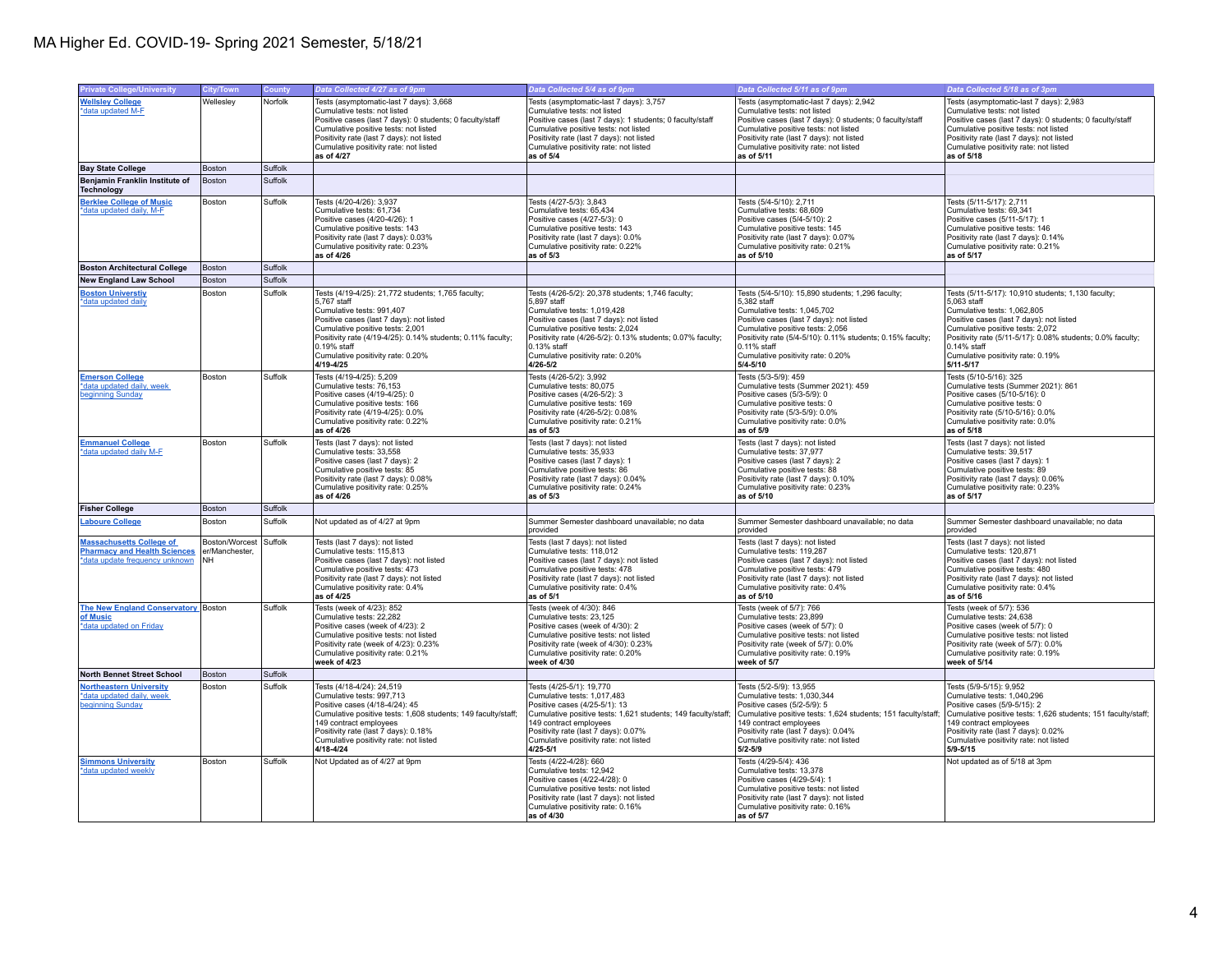| <b>Private College/University</b>                                      | City/Town                                | County             | Data Collected 4/27 as of 9pm                                                                   | Data Collected 5/4 as of 9pm                                                                   | Data Collected 5/11 as of 9pm                                                                  | Data Collected 5/18 as of 3pm                                                                  |
|------------------------------------------------------------------------|------------------------------------------|--------------------|-------------------------------------------------------------------------------------------------|------------------------------------------------------------------------------------------------|------------------------------------------------------------------------------------------------|------------------------------------------------------------------------------------------------|
| <b>Wellsley College</b>                                                | Wellesley                                | Norfolk            | Tests (asymptomatic-last 7 days): 3,668                                                         | Tests (asymptomatic-last 7 days): 3,757                                                        | Tests (asymptomatic-last 7 days): 2,942                                                        | Tests (asymptomatic-last 7 days): 2,983                                                        |
| *data updated M-F                                                      |                                          |                    | Cumulative tests: not listed                                                                    | Cumulative tests: not listed                                                                   | Cumulative tests: not listed                                                                   | Cumulative tests: not listed                                                                   |
|                                                                        |                                          |                    | Positive cases (last 7 days): 0 students; 0 faculty/staff                                       | Positive cases (last 7 days): 1 students; 0 faculty/staff                                      | Positive cases (last 7 days): 0 students; 0 faculty/staff                                      | Positive cases (last 7 days): 0 students; 0 faculty/staff                                      |
|                                                                        |                                          |                    | Cumulative positive tests: not listed                                                           | Cumulative positive tests: not listed                                                          | Cumulative positive tests: not listed                                                          | Cumulative positive tests: not listed                                                          |
|                                                                        |                                          |                    | Positivity rate (last 7 days): not listed<br>Cumulative positivity rate: not listed             | Positivity rate (last 7 days): not listed<br>Cumulative positivity rate: not listed            | Positivity rate (last 7 days): not listed<br>Cumulative positivity rate: not listed            | Positivity rate (last 7 days): not listed<br>Cumulative positivity rate: not listed            |
|                                                                        |                                          |                    | as of 4/27                                                                                      | as of 5/4                                                                                      | as of 5/11                                                                                     | as of 5/18                                                                                     |
| <b>Bay State College</b>                                               | Boston                                   | Suffolk            |                                                                                                 |                                                                                                |                                                                                                |                                                                                                |
| Benjamin Franklin Institute of<br><b>Technology</b>                    | Boston                                   | Suffolk            |                                                                                                 |                                                                                                |                                                                                                |                                                                                                |
| <b>Berklee College of Music</b>                                        | Boston                                   | Suffolk            | Tests (4/20-4/26): 3,937                                                                        | Tests (4/27-5/3): 3,843                                                                        | Tests (5/4-5/10): 2,711                                                                        | Tests (5/11-5/17): 2,711                                                                       |
| *data updated daily, M-F                                               |                                          |                    | Cumulative tests: 61,734                                                                        | Cumulative tests: 65,434                                                                       | Cumulative tests: 68,609                                                                       | Cumulative tests: 69,341                                                                       |
|                                                                        |                                          |                    | Positive cases (4/20-4/26): 1<br>Cumulative positive tests: 143                                 | Positive cases (4/27-5/3): 0<br>Cumulative positive tests: 143                                 | Positive cases (5/4-5/10): 2<br>Cumulative positive tests: 145                                 | Positive cases (5/11-5/17): 1<br>Cumulative positive tests: 146                                |
|                                                                        |                                          |                    | Positivity rate (last 7 days): 0.03%                                                            | Positivity rate (last 7 days): 0.0%                                                            | Positivity rate (last 7 days): 0.07%                                                           | Positivity rate (last 7 days): 0.14%                                                           |
|                                                                        |                                          |                    | Cumulative positivity rate: 0.23%                                                               | Cumulative positivity rate: 0.22%                                                              | Cumulative positivity rate: 0.21%                                                              | Cumulative positivity rate: 0.21%                                                              |
|                                                                        |                                          |                    | as of 4/26                                                                                      | as of $5/3$                                                                                    | as of 5/10                                                                                     | as of 5/17                                                                                     |
| <b>Boston Architectural College</b>                                    | Boston                                   | Suffolk            |                                                                                                 |                                                                                                |                                                                                                |                                                                                                |
| <b>New England Law School</b>                                          | <b>Boston</b>                            | Suffolk<br>Suffolk |                                                                                                 |                                                                                                |                                                                                                |                                                                                                |
| <b>Boston Universtiv</b><br>*data updated daily                        | Boston                                   |                    | Tests (4/19-4/25): 21,772 students; 1,765 faculty;<br>5,767 staff                               | Tests (4/26-5/2): 20,378 students; 1,746 faculty;<br>5,897 staff                               | Tests (5/4-5/10): 15,890 students; 1,296 faculty;<br>5,382 staff                               | Tests (5/11-5/17): 10,910 students; 1,130 faculty;<br>5,063 staff                              |
|                                                                        |                                          |                    | Cumulative tests: 991,407                                                                       | Cumulative tests: 1,019,428                                                                    | Cumulative tests: 1,045,702                                                                    | Cumulative tests: 1,062,805                                                                    |
|                                                                        |                                          |                    | Positive cases (last 7 days); not listed                                                        | Positive cases (last 7 days); not listed                                                       | Positive cases (last 7 days); not listed                                                       | Positive cases (last 7 days): not listed                                                       |
|                                                                        |                                          |                    | Cumulative positive tests: 2,001<br>Positivity rate (4/19-4/25): 0.14% students; 0.11% faculty; | Cumulative positive tests: 2,024<br>Positivity rate (4/26-5/2): 0.13% students; 0.07% faculty; | Cumulative positive tests: 2,056<br>Positivity rate (5/4-5/10): 0.11% students; 0.15% faculty; | Cumulative positive tests: 2,072<br>Positivity rate (5/11-5/17): 0.08% students; 0.0% faculty; |
|                                                                        |                                          |                    | $0.19%$ staff                                                                                   | $0.13%$ staff                                                                                  | 0.11% staff                                                                                    | $0.14%$ staff                                                                                  |
|                                                                        |                                          |                    | Cumulative positivity rate: 0.20%                                                               | Cumulative positivity rate: 0.20%                                                              | Cumulative positivity rate: 0.20%                                                              | Cumulative positivity rate: 0.19%                                                              |
|                                                                        |                                          |                    | $4/19 - 4/25$                                                                                   | $4/26 - 5/2$                                                                                   | $5/4 - 5/10$                                                                                   | $5/11 - 5/17$                                                                                  |
| <b>Emerson College</b><br>*data updated daily, week                    | Boston                                   | Suffolk            | Tests (4/19-4/25): 5.209<br>Cumulative tests: 76,153                                            | Tests (4/26-5/2): 3.992<br>Cumulative tests: 80,075                                            | Tests (5/3-5/9): 459<br>Cumulative tests (Summer 2021): 459                                    | Tests (5/10-5/16): 325<br>Cumulative tests (Summer 2021): 861                                  |
| beginning Sunday                                                       |                                          |                    | Positive cases (4/19-4/25): 0                                                                   | Positive cases (4/26-5/2): 3                                                                   | Positive cases (5/3-5/9): 0                                                                    | Positive cases (5/10-5/16): 0                                                                  |
|                                                                        |                                          |                    | Cumulative positive tests: 166                                                                  | Cumulative positive tests: 169                                                                 | Cumulative positive tests: 0                                                                   | Cumulative positive tests: 0                                                                   |
|                                                                        |                                          |                    | Positivity rate (4/19-4/25): 0.0%                                                               | Positivity rate (4/26-5/2): 0.08%                                                              | Positivity rate (5/3-5/9): 0.0%                                                                | Positivity rate (5/10-5/16): 0.0%                                                              |
|                                                                        |                                          |                    | Cumulative positivity rate: 0.22%<br>as of 4/26                                                 | Cumulative positivity rate: 0.21%<br>as of $5/3$                                               | Cumulative positivity rate: 0.0%<br>as of 5/9                                                  | Cumulative positivity rate: 0.0%<br>as of 5/18                                                 |
| <b>Emmanuel College</b>                                                | Boston                                   | Suffolk            | Tests (last 7 days): not listed                                                                 | Tests (last 7 days): not listed                                                                | Tests (last 7 days): not listed                                                                | Tests (last 7 days): not listed                                                                |
| *data updated daily M-F                                                |                                          |                    | Cumulative tests: 33.558                                                                        | Cumulative tests: 35.933                                                                       | Cumulative tests: 37.977                                                                       | Cumulative tests: 39.517                                                                       |
|                                                                        |                                          |                    | Positive cases (last 7 days): 2<br>Cumulative positive tests: 85                                | Positive cases (last 7 days): 1<br>Cumulative positive tests: 86                               | Positive cases (last 7 days): 2<br>Cumulative positive tests: 88                               | Positive cases (last 7 days): 1<br>Cumulative positive tests: 89                               |
|                                                                        |                                          |                    | Positivity rate (last 7 days): 0.08%                                                            | Positivity rate (last 7 days): 0.04%                                                           | Positivity rate (last 7 days): 0.10%                                                           | Positivity rate (last 7 days): 0.06%                                                           |
|                                                                        |                                          |                    | Cumulative positivity rate: 0.25%                                                               | Cumulative positivity rate: 0.24%                                                              | Cumulative positivity rate: 0.23%                                                              | Cumulative positivity rate: 0.23%                                                              |
|                                                                        |                                          |                    | as of 4/26                                                                                      | as of $5/3$                                                                                    | as of 5/10                                                                                     | as of 5/17                                                                                     |
| <b>Fisher College</b>                                                  | Boston                                   | Suffolk            |                                                                                                 |                                                                                                |                                                                                                |                                                                                                |
| <b>Laboure College</b>                                                 | Boston                                   | Suffolk            | Not updated as of 4/27 at 9pm                                                                   | Summer Semester dashboard unavailable; no data<br>provided                                     | Summer Semester dashboard unavailable; no data<br>provided                                     | Summer Semester dashboard unavailable; no data<br>provided                                     |
| <b>Massachusetts College of</b><br><b>Pharmacy and Health Sciences</b> | Boston/Worcest Suffolk<br>er/Manchester. |                    | Tests (last 7 days): not listed<br>Cumulative tests: 115,813                                    | Tests (last 7 days): not listed<br>Cumulative tests: 118,012                                   | Tests (last 7 days): not listed<br>Cumulative tests: 119,287                                   | Tests (last 7 days): not listed<br>Cumulative tests: 120,871                                   |
| *data update frequency unknown                                         | NH                                       |                    | Positive cases (last 7 days); not listed                                                        | Positive cases (last 7 days): not listed                                                       | Positive cases (last 7 days): not listed                                                       | Positive cases (last 7 days): not listed                                                       |
|                                                                        |                                          |                    | Cumulative positive tests: 473                                                                  | Cumulative positive tests: 478                                                                 | Cumulative positive tests: 479                                                                 | Cumulative positive tests: 480                                                                 |
|                                                                        |                                          |                    | Positivity rate (last 7 days): not listed<br>Cumulative positivity rate: 0.4%                   | Positivity rate (last 7 days): not listed<br>Cumulative positivity rate: 0.4%                  | Positivity rate (last 7 days): not listed<br>Cumulative positivity rate: 0.4%                  | Positivity rate (last 7 days): not listed<br>Cumulative positivity rate: 0.4%                  |
|                                                                        |                                          |                    | as of 4/25                                                                                      | as of 5/1                                                                                      | as of 5/10                                                                                     | as of 5/16                                                                                     |
| The New England Conservatory Boston                                    |                                          | Suffolk            | Tests (week of 4/23): 852                                                                       | Tests (week of 4/30): 846                                                                      | Tests (week of 5/7): 766                                                                       | Tests (week of 5/7): 536                                                                       |
| of Music                                                               |                                          |                    | Cumulative tests: 22.282                                                                        | Cumulative tests: 23.125                                                                       | Cumulative tests: 23.899                                                                       | Cumulative tests: 24.638                                                                       |
| *data updated on Friday                                                |                                          |                    | Positive cases (week of 4/23): 2<br>Cumulative positive tests: not listed                       | Positive cases (week of 4/30): 2<br>Cumulative positive tests: not listed                      | Positive cases (week of 5/7): 0<br>Cumulative positive tests: not listed                       | Positive cases (week of 5/7): 0<br>Cumulative positive tests: not listed                       |
|                                                                        |                                          |                    | Positivity rate (week of 4/23): 0.23%                                                           | Positivity rate (week of 4/30): 0.23%                                                          | Positivity rate (week of 5/7): 0.0%                                                            | Positivity rate (week of 5/7): 0.0%                                                            |
|                                                                        |                                          |                    | Cumulative positivity rate: 0.21%<br>week of 4/23                                               | Cumulative positivity rate: 0.20%<br>week of 4/30                                              | Cumulative positivity rate: 0.19%<br>week of 5/7                                               | Cumulative positivity rate: 0.19%<br>week of 5/14                                              |
| <b>North Bennet Street School</b>                                      | Boston                                   | Suffolk            |                                                                                                 |                                                                                                |                                                                                                |                                                                                                |
| <b>Northeastern University</b>                                         | <b>Boston</b>                            | Suffolk            | Tests (4/18-4/24): 24,519                                                                       | Tests (4/25-5/1): 19,770                                                                       | Tests (5/2-5/9): 13,955                                                                        | Tests (5/9-5/15): 9,952                                                                        |
| *data updated daily, week                                              |                                          |                    | Cumulative tests: 997,713                                                                       | Cumulative tests: 1,017,483                                                                    | Cumulative tests: 1,030,344                                                                    | Cumulative tests: 1,040,296                                                                    |
| beginning Sunday                                                       |                                          |                    | Positive cases (4/18-4/24): 45                                                                  | Positive cases (4/25-5/1): 13                                                                  | Positive cases (5/2-5/9): 5                                                                    | Positive cases (5/9-5/15): 2                                                                   |
|                                                                        |                                          |                    | Cumulative positive tests: 1.608 students: 149 faculty/staff:<br>149 contract employees         | Cumulative positive tests: 1.621 students: 149 faculty/staff<br>49 contract employees          | Cumulative positive tests: 1.624 students: 151 faculty/staff:<br>149 contract employees        | Cumulative positive tests: 1,626 students; 151 faculty/staff;<br>149 contract employees        |
|                                                                        |                                          |                    | Positivity rate (last 7 days): 0.18%                                                            | Positivity rate (last 7 days): 0.07%                                                           | Positivity rate (last 7 days): 0.04%                                                           | Positivity rate (last 7 days): 0.02%                                                           |
|                                                                        |                                          |                    | Cumulative positivity rate: not listed                                                          | Cumulative positivity rate: not listed                                                         | Cumulative positivity rate: not listed                                                         | Cumulative positivity rate: not listed                                                         |
|                                                                        |                                          |                    | 4/18-4/24                                                                                       | $4/25 - 5/1$                                                                                   | $5/2 - 5/9$                                                                                    | $5/9 - 5/15$                                                                                   |
| <b>Simmons University</b>                                              | <b>Boston</b>                            | Suffolk            | Not Updated as of 4/27 at 9pm                                                                   | Tests (4/22-4/28): 660<br>Cumulative tests: 12,942                                             | Tests (4/29-5/4): 436<br>Cumulative tests: 13.378                                              | Not updated as of 5/18 at 3pm                                                                  |
| *data updated weekly                                                   |                                          |                    |                                                                                                 | Positive cases (4/22-4/28): 0                                                                  | Positive cases (4/29-5/4): 1                                                                   |                                                                                                |
|                                                                        |                                          |                    |                                                                                                 | Cumulative positive tests: not listed                                                          | Cumulative positive tests: not listed                                                          |                                                                                                |
|                                                                        |                                          |                    |                                                                                                 | Positivity rate (last 7 days); not listed                                                      | Positivity rate (last 7 days); not listed                                                      |                                                                                                |
|                                                                        |                                          |                    |                                                                                                 | Cumulative positivity rate: 0.16%<br>as of 4/30                                                | Cumulative positivity rate: 0.16%<br>as of 5/7                                                 |                                                                                                |
|                                                                        |                                          |                    |                                                                                                 |                                                                                                |                                                                                                |                                                                                                |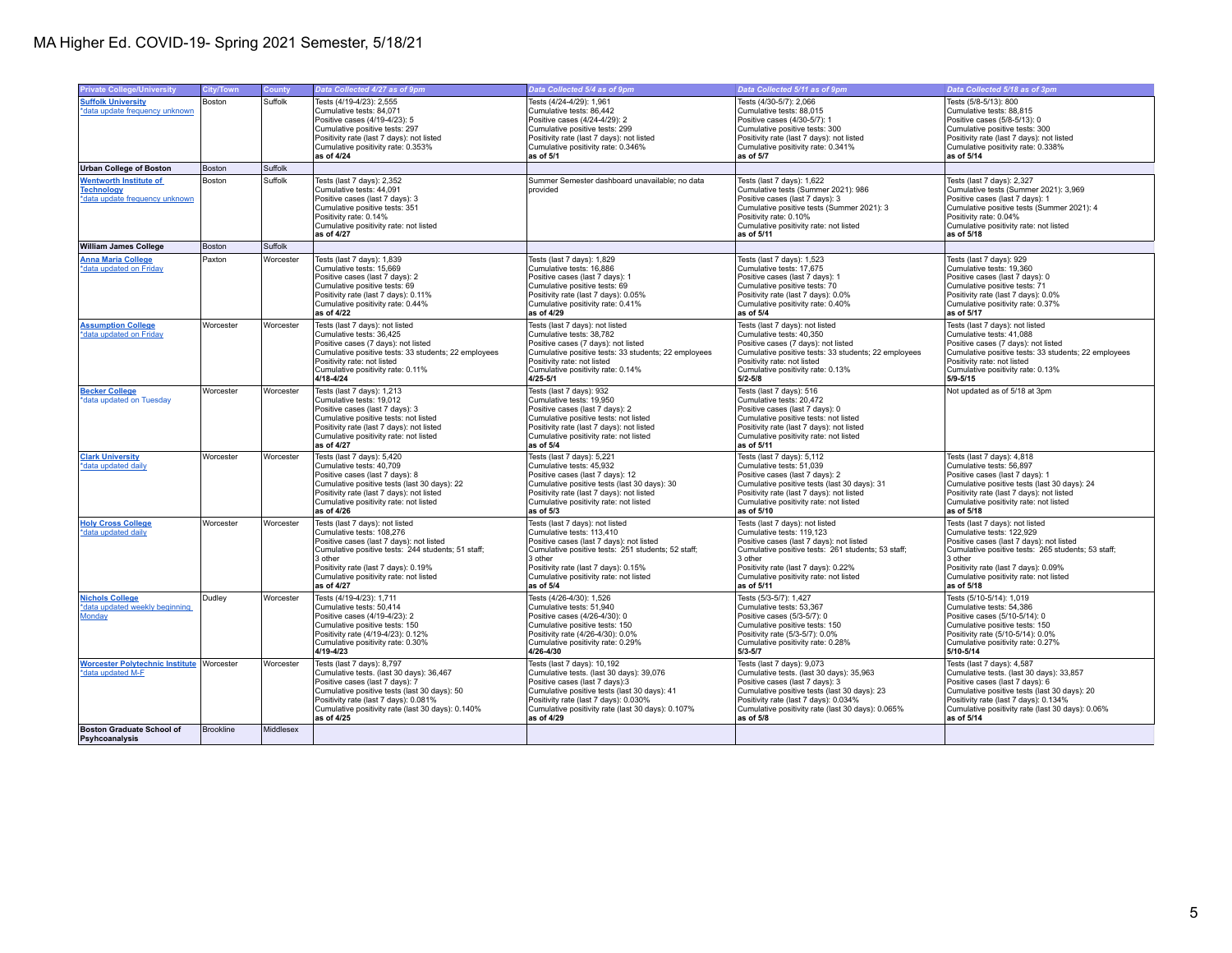| <b>Private College/University</b>                                                    | City/Town | <b>County</b> | Data Collected 4/27 as of 9pm                                                                                                                                                                                                                                             | Data Collected 5/4 as of 9pm                                                                                                                                                                                                                                               | Data Collected 5/11 as of 9pm                                                                                                                                                                                                                                             | Data Collected 5/18 as of 3pm                                                                                                                                                                                                                                             |
|--------------------------------------------------------------------------------------|-----------|---------------|---------------------------------------------------------------------------------------------------------------------------------------------------------------------------------------------------------------------------------------------------------------------------|----------------------------------------------------------------------------------------------------------------------------------------------------------------------------------------------------------------------------------------------------------------------------|---------------------------------------------------------------------------------------------------------------------------------------------------------------------------------------------------------------------------------------------------------------------------|---------------------------------------------------------------------------------------------------------------------------------------------------------------------------------------------------------------------------------------------------------------------------|
| <b>Suffolk University</b><br>*data update frequency unknown                          | Boston    | Suffolk       | Tests (4/19-4/23): 2,555<br>Cumulative tests: 84,071<br>Positive cases (4/19-4/23): 5<br>Cumulative positive tests: 297<br>Positivity rate (last 7 days): not listed<br>Cumulative positivity rate: 0.353%                                                                | Tests (4/24-4/29): 1,961<br>Cumulative tests: 86,442<br>Positive cases (4/24-4/29): 2<br>Cumulative positive tests: 299<br>Positivity rate (last 7 days): not listed<br>Cumulative positivity rate: 0.346%                                                                 | Tests (4/30-5/7): 2,066<br>Cumulative tests: 88,015<br>Positive cases (4/30-5/7): 1<br>Cumulative positive tests: 300<br>Positivity rate (last 7 days): not listed<br>Cumulative positivity rate: 0.341%                                                                  | Tests (5/8-5/13): 800<br>Cumulative tests: 88,815<br>Positive cases (5/8-5/13): 0<br>Cumulative positive tests: 300<br>Positivity rate (last 7 days): not listed<br>Cumulative positivity rate: 0.338%                                                                    |
|                                                                                      |           |               | as of 4/24                                                                                                                                                                                                                                                                | as of 5/1                                                                                                                                                                                                                                                                  | as of 5/7                                                                                                                                                                                                                                                                 | as of 5/14                                                                                                                                                                                                                                                                |
| <b>Urban College of Boston</b>                                                       | Boston    | Suffolk       |                                                                                                                                                                                                                                                                           |                                                                                                                                                                                                                                                                            |                                                                                                                                                                                                                                                                           |                                                                                                                                                                                                                                                                           |
| <b>Wentworth Institute of</b><br><b>Technology</b><br>*data update frequency unknown | Boston    | Suffolk       | Tests (last 7 days): 2.352<br>Cumulative tests: 44,091<br>Positive cases (last 7 days): 3<br>Cumulative positive tests: 351<br>Positivity rate: 0.14%<br>Cumulative positivity rate: not listed<br>as of 4/27                                                             | Summer Semester dashboard unavailable: no data<br>provided                                                                                                                                                                                                                 | Tests (last 7 days): 1.622<br>Cumulative tests (Summer 2021): 986<br>Positive cases (last 7 days): 3<br>Cumulative positive tests (Summer 2021): 3<br>Positivity rate: 0.10%<br>Cumulative positivity rate: not listed<br>as of 5/11                                      | Tests (last 7 days): 2.327<br>Cumulative tests (Summer 2021): 3,969<br>Positive cases (last 7 days): 1<br>Cumulative positive tests (Summer 2021): 4<br>Positivity rate: 0.04%<br>Cumulative positivity rate: not listed<br>as of 5/18                                    |
| <b>William James College</b>                                                         | Boston    | Suffolk       |                                                                                                                                                                                                                                                                           |                                                                                                                                                                                                                                                                            |                                                                                                                                                                                                                                                                           |                                                                                                                                                                                                                                                                           |
| <b>Anna Maria College</b><br>*data updated on Friday                                 | Paxton    | Worcester     | Tests (last 7 days): 1,839<br>Cumulative tests: 15,669<br>Positive cases (last 7 days): 2<br>Cumulative positive tests: 69<br>Positivity rate (last 7 days): 0.11%<br>Cumulative positivity rate: 0.44%<br>as of 4/22                                                     | Tests (last 7 days): 1,829<br>Cumulative tests: 16,886<br>Positive cases (last 7 days): 1<br>Cumulative positive tests: 69<br>Positivity rate (last 7 days): 0.05%<br>Cumulative positivity rate: 0.41%<br>as of 4/29                                                      | Tests (last 7 days): 1,523<br>Cumulative tests: 17,675<br>Positive cases (last 7 days): 1<br>Cumulative positive tests: 70<br>Positivity rate (last 7 days): 0.0%<br>Cumulative positivity rate: 0.40%<br>as of 5/4                                                       | Tests (last 7 days): 929<br>Cumulative tests: 19,360<br>Positive cases (last 7 days): 0<br>Cumulative positive tests: 71<br>Positivity rate (last 7 days): 0.0%<br>Cumulative positivity rate: 0.37%<br>as of 5/17                                                        |
| <b>Assumption College</b><br>*data updated on Friday                                 | Worcester | Worcester     | Tests (last 7 days): not listed<br>Cumulative tests: 36.425<br>Positive cases (7 days): not listed<br>Cumulative positive tests: 33 students; 22 employees<br>Positivity rate: not listed<br>Cumulative positivity rate: 0.11%<br>$4/18 - 4/24$                           | Tests (last 7 days): not listed<br>Cumulative tests: 38.782<br>Positive cases (7 days): not listed<br>Cumulative positive tests: 33 students; 22 employees<br>Positivity rate: not listed<br>Cumulative positivity rate: 0.14%<br>$4/25 - 5/1$                             | Tests (last 7 days): not listed<br>Cumulative tests: 40.350<br>Positive cases (7 days): not listed<br>Cumulative positive tests: 33 students; 22 employees<br>Positivity rate: not listed<br>Cumulative positivity rate: 0.13%<br>$5/2 - 5/8$                             | Tests (last 7 days): not listed<br>Cumulative tests: 41.088<br>Positive cases (7 days): not listed<br>Cumulative positive tests: 33 students; 22 employees<br>Positivity rate: not listed<br>Cumulative positivity rate: 0.13%<br>5/9-5/15                                |
| <b>Becker College</b><br>*data updated on Tuesday                                    | Worcester | Worcester     | Tests (last 7 days): 1,213<br>Cumulative tests: 19.012<br>Positive cases (last 7 days): 3<br>Cumulative positive tests: not listed<br>Positivity rate (last 7 days): not listed<br>Cumulative positivity rate: not listed<br>as of 4/27                                   | Tests (last 7 days): 932<br>Cumulative tests: 19,950<br>Positive cases (last 7 days): 2<br>Cumulative positive tests: not listed<br>Positivity rate (last 7 days): not listed<br>Cumulative positivity rate: not listed<br>as of $5/4$                                     | Tests (last 7 days): 516<br>Cumulative tests: 20,472<br>Positive cases (last 7 days): 0<br>Cumulative positive tests: not listed<br>Positivity rate (last 7 days): not listed<br>Cumulative positivity rate: not listed<br>as of 5/11                                     | Not updated as of 5/18 at 3pm                                                                                                                                                                                                                                             |
| <b>Clark University</b><br>*data updated daily                                       | Worcester | Worcester     | Tests (last 7 days): 5,420<br>Cumulative tests: 40,709<br>Positive cases (last 7 days): 8<br>Cumulative positive tests (last 30 days): 22<br>Positivity rate (last 7 days): not listed<br>Cumulative positivity rate: not listed<br>as of 4/26                            | Tests (last 7 days): 5,221<br>Cumulative tests: 45,932<br>Positive cases (last 7 days): 12<br>Cumulative positive tests (last 30 days): 30<br>Positivity rate (last 7 days): not listed<br>Cumulative positivity rate: not listed<br>as of $5/3$                           | Tests (last 7 days): 5,112<br>Cumulative tests: 51.039<br>Positive cases (last 7 days): 2<br>Cumulative positive tests (last 30 days): 31<br>Positivity rate (last 7 days): not listed<br>Cumulative positivity rate: not listed<br>as of 5/10                            | Tests (last 7 days): 4,818<br>Cumulative tests: 56.897<br>Positive cases (last 7 days): 1<br>Cumulative positive tests (last 30 days): 24<br>Positivity rate (last 7 days): not listed<br>Cumulative positivity rate: not listed<br>as of 5/18                            |
| <b>Holy Cross College</b><br>*data updated daily                                     | Worcester | Worcester     | Tests (last 7 days): not listed<br>Cumulative tests: 108.276<br>Positive cases (last 7 days); not listed<br>Cumulative positive tests: 244 students; 51 staff;<br>3 other<br>Positivity rate (last 7 days): 0.19%<br>Cumulative positivity rate: not listed<br>as of 4/27 | Tests (last 7 days): not listed<br>Cumulative tests: 113.410<br>Positive cases (last 7 days); not listed<br>Cumulative positive tests: 251 students; 52 staff;<br>3 other<br>Positivity rate (last 7 days): 0.15%<br>Cumulative positivity rate: not listed<br>as of $5/4$ | Tests (last 7 days): not listed<br>Cumulative tests: 119.123<br>Positive cases (last 7 days): not listed<br>Cumulative positive tests: 261 students; 53 staff;<br>3 other<br>Positivity rate (last 7 days): 0.22%<br>Cumulative positivity rate: not listed<br>as of 5/11 | Tests (last 7 days); not listed<br>Cumulative tests: 122.929<br>Positive cases (last 7 days): not listed<br>Cumulative positive tests: 265 students; 53 staff;<br>3 other<br>Positivity rate (last 7 days): 0.09%<br>Cumulative positivity rate: not listed<br>as of 5/18 |
| <b>Nichols College</b><br>*data updated weekly beginning<br><b>Monday</b>            | Dudley    | Worcester     | Tests (4/19-4/23): 1.711<br>Cumulative tests: 50,414<br>Positive cases (4/19-4/23): 2<br>Cumulative positive tests: 150<br>Positivity rate (4/19-4/23): 0.12%<br>Cumulative positivity rate: 0.30%<br>$4/19 - 4/23$                                                       | Tests (4/26-4/30): 1.526<br>Cumulative tests: 51,940<br>Positive cases (4/26-4/30): 0<br>Cumulative positive tests: 150<br>Positivity rate (4/26-4/30): 0.0%<br>Cumulative positivity rate: 0.29%<br>4/26-4/30                                                             | Tests (5/3-5/7): 1.427<br>Cumulative tests: 53,367<br>Positive cases (5/3-5/7): 0<br>Cumulative positive tests: 150<br>Positivity rate (5/3-5/7): 0.0%<br>Cumulative positivity rate: 0.28%<br>$5/3 - 5/7$                                                                | Tests (5/10-5/14): 1,019<br>Cumulative tests: 54,386<br>Positive cases (5/10-5/14): 0<br>Cumulative positive tests: 150<br>Positivity rate (5/10-5/14): 0.0%<br>Cumulative positivity rate: 0.27%<br>5/10-5/14                                                            |
| <b>Worcester Polytechnic Institute</b><br>*data updated M-F                          | Worcester | Worcester     | Tests (last 7 days): 8,797<br>Cumulative tests. (last 30 days): 36,467<br>Positive cases (last 7 days): 7<br>Cumulative positive tests (last 30 days): 50<br>Positivity rate (last 7 days): 0.081%<br>Cumulative positivity rate (last 30 days): 0.140%<br>as of 4/25     | Tests (last 7 days): 10,192<br>Cumulative tests. (last 30 days): 39,076<br>Positive cases (last 7 days):3<br>Cumulative positive tests (last 30 days): 41<br>Positivity rate (last 7 days): 0.030%<br>Cumulative positivity rate (last 30 days): 0.107%<br>as of 4/29      | Tests (last 7 days): 9,073<br>Cumulative tests. (last 30 days): 35,963<br>Positive cases (last 7 days): 3<br>Cumulative positive tests (last 30 days): 23<br>Positivity rate (last 7 days): 0.034%<br>Cumulative positivity rate (last 30 days): 0.065%<br>as of 5/8      | Tests (last 7 days): 4,587<br>Cumulative tests. (last 30 days): 33,857<br>Positive cases (last 7 days): 6<br>Cumulative positive tests (last 30 days): 20<br>Positivity rate (last 7 days): 0.134%<br>Cumulative positivity rate (last 30 days): 0.06%<br>as of 5/14      |
| <b>Boston Graduate School of</b><br>Psyhcoanalysis                                   | Brookline | Middlesex     |                                                                                                                                                                                                                                                                           |                                                                                                                                                                                                                                                                            |                                                                                                                                                                                                                                                                           |                                                                                                                                                                                                                                                                           |